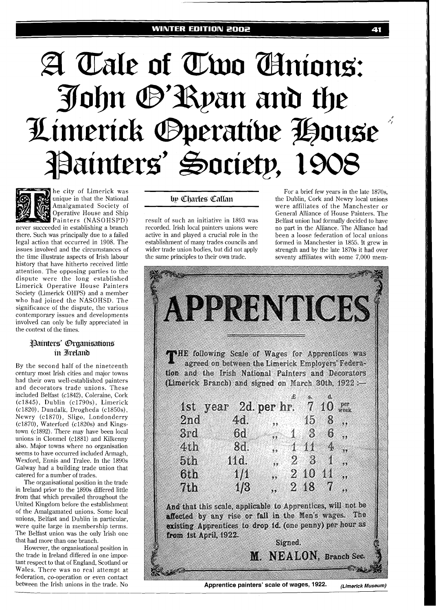#### **WINTER EDITION 2002**

# A Tale of Two Amions: John @'Ryan and the Limerick Operative House Painters' Society, 1



he city of Limerick was unique in that the National Amalgamated Society of Operative House and Ship Painters (NASOHSPD)

never succeeded in establishing a branch there. Such was principally due to a failed legal action that occurred in 1908. The issues involved and the circumstances of the time illustrate aspects of Irish labour history that have hitherto received little attention. The opposing parties to the dispute were the long established Limerick Operative House Painters Society (Limerick OHPS) and a member who had joined the NASOHSD. The significance of the dispute, the various contemporary issues and developments involved can only be fully appreciated in the context of the times.

# Painters' Organisations in Ireland

By the second half of the nineteenth century most Irish cities and major towns had their own well-established painters and decorators trade unions. These included Belfast (c1842), Coleraine, Cork (c1845), Dublin (c1790s), Limerick (c1820), Dundalk, Drogheda (c1850s), Newry (c1870), Sligo, Londonderry  $(c1870)$ , Waterford  $(c1820s)$  and Kingstown ( $c1892$ ). There may have been local unions in Clonmel ( $c1881$ ) and Kilkenny also. Major towns where no organisation seems to have occurred included Armagh, Wexford, Ennis and Tralee. In the 1890s Galway had a building trade union that catered for a number of trades.

The organisational position in the trade in Ireland prior to the 1890s differed little from that which prevailed throughout the United Kingdom before the establishment of the Amalgamated unions. Some local unions, Belfast and Dublin in particular, were quite large in membership terms. The Belfast union was the only Irish one that had more than one branch.

However, the organisational position in the trade in Ireland differed in one important respect to that of England, Scotland or Wales. There was no real attempt at federation, co-operation or even contact between the Irish unions in the trade. No

wider trade union bodies, but did not apply strength and by the late 1870s it had over the same principles to their own trade. Seventy affiliates with some 7,000 mem-

For a brief few years in the late 1870s, by Charles Callan the Dublin, Cork and Newry local unions were affiliates of the Manchester or General Alliance of House Painters. The result of such an initiative in 1893 was Belfast union had formally decided to have<br>recorded. Irish local painters unions were no part in the Alliance. The Alliance had recorded. Irish local painters unions were no part in the Alliance. The Alliance had active in and played a crucial role in the been a loose federation of local unions active in and played a crucial role in the been a loose federation of local unions establishment of many trades councils and formed in Manchester in 1855. It grew in establishment of many trades councils and formed in Manchester in 1855. It grew in seventy affiliates with some 7,000 mem-

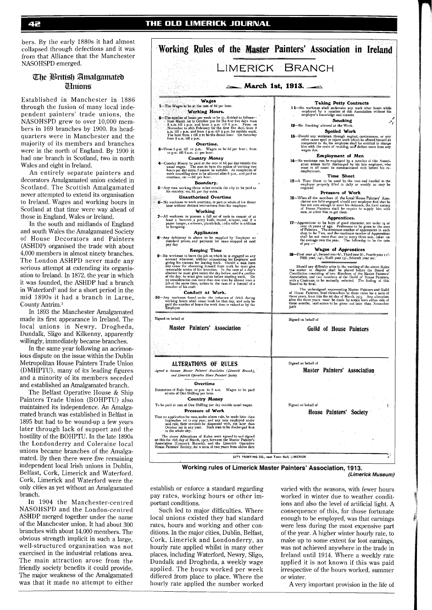bers. By the early 1880s it had almost collapsed through defections and it was from that Alliance that the Manchester NASOHSPD emerged.

## The British Amalgamated **Ulnions**

Established in Manchester in 1886 through the fusion of many local independent painters' trade unions, the NASOHSPD grew to over 10,000 members in 169 branches by 1900. Its headquarters were in Manchester and the majority of its members and branches were in the north of England. By 1900 it had one branch in Scotland, two in north Wales and eight in Ireland.

An entirely separate painters and decorators Amalgamated union existed in Scotland. The Scottish Amalgamated never attempted to extend its organisation to Ireland. Wages and working hours in Scotland at that time were way ahead of those in England, Wales or Ireland.

In the south and midlands of England and south Wales the Amalgamated Society of House Decorators and Painters (ASHDP) organised the trade with about 4,000 members in almost ninety branches. The London ASHPD never made any serious attempt at extending its organisation to Ireland. In 1872, the year in which it was founded, the ASHDP had a branch in Waterford<sup>2</sup> and for a short period in the mid 1890s it had a branch in Larne, County Antrim.3

In 1893 the Manchester Amalgamated made its first appearance in Ireland. The local unions in Newry, Drogheda, Dundalk, Sligo and Kilkenny, apparently willingly, immediately became branches.

In the same year following an acrimonious dispute on the issue within the Dublin Metropolitan House Painters Trade Union (DMHPTU), many of its leading figures and a minority of its members seceded and established an Amalgamated branch.

The Belfast Operative House & Ship Painters Trade Union (BOHPTU) also maintained its independence. An Amalgamated branch was established in Belfast in 1895 but had to be wound-up a few years later through lack of support and the hostility of the BOHFTU. In the late 1890s the Londonderry and Coleraine local unions became branches of the Amalgamated. By then there were five remaining independent local Irish unions in Dublin, Belfast, Cork, Limerick and Waterford. Cork, Limerick and Waterford were the only cities as yet without an Amalgamated branch.

In 1904 the Manchester-centred NASOHSPD and the London-centred ASHDP merged together under the name of the Manchester union. It had about 300 branches with about 14,000 members. The obvious strength implicit in such a large, well-structured organisation was not exercised in the industrial relations area. The main attraction arose from the friendly society benefits it could provide. The major weakness of the Amalgamated was that it made no attempt to either



**Working rules of Limerick Master Painters' Association, 1913.** 

**(Limerick Museum)** 

establish or enforce a standard regarding pay rates, working hours or other important conditions.

Such led to major difficulties. Where local unions existed they had standard rates, hours and working and other conditions. In the major cities, Dublin, Belfast, Cork, Limerick and Londonderry, an hourly rate applied whilst in many other places, including Waterford, Newry, Sligo, Dundalk and Drogheda, a weekly wage applied. The hours worked per week differed from place to place. Where the hourly rate applied the number worked varied with the seasons, with fewer hours worked in winter due to weather conditions and also the level of artificial light. A consequence of this, for those fortunate enough to be employed, was that earnings were less during the most expensive part of the year. A higher winter hourly rate, to make up to some extent for lost earnings, was not achieved anywhere in the trade in Ireland until 1914. Where a weekly rate applied it is not known if this was paid irrespective of the hours worked, summer or winter.

A very important provision in the life of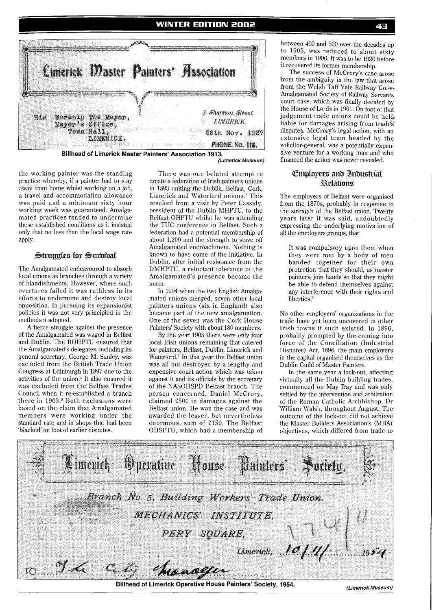

**(Limerick Museum)** 

the working painter was the standing practice whereby, if a painter had to stay away from home whilst working on a job, a travel and accommodation allowance was paid and a minimum sixty hour working week was guaranteed. Amalgamated practices tended to undermine these established conditions as it insisted only that no less than the local wage rate apply.

#### Struggles for Survival

The Amalgamated endeavoured to absorb local unions as branches through a variety of blandishments. However, where such overtures failed it was ruthless in its efforts to undermine and destroy local opposition. In pursuing its expansionist policies it was not very principled in the methods it adopted.

A fierce struggle against the presence of the Amalgamated was waged in Belfast and Dublin. The BOHF'TU ensured that the Amalgamated's delegates, including its general secretary, George M. Sunley, was excluded from the British Trade Union Congress at Edinburgh in 1897 due to the activities of the union.4 It also ensured it was excluded from the Belfast Trades Council when it re-established a branch there in 1903.<sup>5</sup> Both exclusions were based on the claim that Amalgamated members were working under the standard rate and in shops that had been 'blacked' on foot of earlier disputes.

There was one belated attempt to create a federation of Irish painters unions in 1893 uniting the Dublin, Belfast, Cork, Limerick and Waterford unions.6 This resulted from a visit by Peter Cassidy, president of the Dublin MHPTU, to the Belfast OHPTU whilst he was attending the TUC conference in Belfast. Such a federation had a potential membership of about 1,200 and the strength to stave off Amalgamated encroachment. Nothing is known to have come of the initiative. In Dublin, after initial resistance from the DMHPTU, a reluctant tolerance of the Amalgamated's presence became the norm.

In 1904 when the two English Amalgamated unions merged, seven other local painters unions (six in England) also became part of the new amalgamation. One of the seven was the Cork House Painters' Society with about 180 members.

By the year 1905 there were only four local Irish unions remaining that catered for painters, Belfast, Dublin, Limerick and Waterford.<sup>7</sup> In that year the Belfast union was all but destroyed by a lengthy and expensive court action which was taken against it and its officials by the secretary of the NASOHSPD Belfast branch. The person concerned, Daniel McCrory, claimed £500 in damages against the Belfast union. He won the case and was awarded the lesser, but nevertheless enormous, sum of £150. The Belfast OHSPTU, which had a membership of

between 400 and 500 over the decades up to 1905, was reduced to about sixty members in 1906. It was to be 1920 before it recovered its former membership.

The success of McCrory's case arose from the ambiguity in the law that arose from the Welsh Taff Vale Railway Co.-V-Amalgamated Society of Railway Servants court case, which was finally decided by the House of Lords in 1901. On foot of that judgement trade unions could be held, liable for damages arising from trades disputes. McCrory's legal action, with an extensive legal team headed by the solicitor-general, was a potentially expensive venture for a working man and who financed the action was never revealed.

## **Employers and Industrial** Relations

The employers of Belfast were organised from the 1870s, probably in response to the strength of the Belfast union. Twenty years later it was said, undoubtedly expressing the underlying motivation of all the employers groups, that

It was compulsory upon them when they were met by a body of men banded together for their own protection that they should, as master painters, join hands so that they might be able to defend themselves against any interference with their rights and liberties.<sup>8</sup>

No other employers' organisations in the trade have yet been uncovered in other Irish towns if such existed. In 1896, probably prompted by the coming into force of the Conciliation (Industrial Disputes) Act, 1896, the main employers in the capital organised themselves as the Dublin Guild of Master Painters.

In the same year a lock-out, affecting virtually all the Dublin building trades, commenced on May Day and was only settled by the intervention and arbitration of the Roman Catholic Archbishop, Dr William Walsh, throughout August. The outcome of the lock-out did not achieve the Master Builders Association's (MBA) objectives, which differed from trade to

|                     |                                       | Pimerick Operative House Painters' Society.  |  |                     |  |      |  |  |  |
|---------------------|---------------------------------------|----------------------------------------------|--|---------------------|--|------|--|--|--|
|                     |                                       | Branch No. 5, Building Workers' Trade Union. |  |                     |  |      |  |  |  |
|                     | MECHANICS' INSTITUTE,<br>PERY SQUARE, |                                              |  |                     |  |      |  |  |  |
| TO <sub>10</sub> 27 |                                       | city chancegar                               |  | Limerick, $.00/11/$ |  | 1954 |  |  |  |

**Billhead of Limerick Operative House Painters' Society, 1954.** *(Limerick Museum)*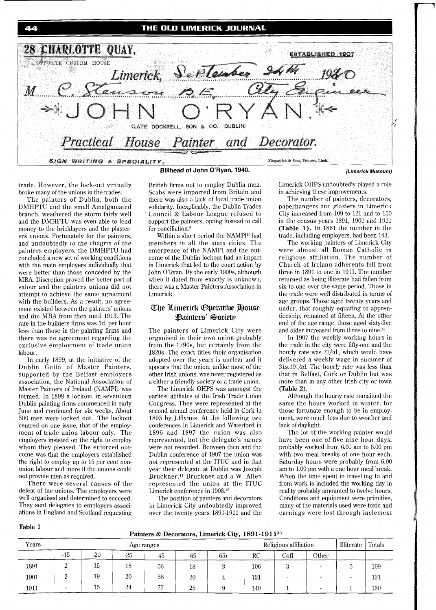44 28 CHARLOTTE OUAY. <u>ESTABLISHED 1907</u> OPPOSITE CUSTOM HOUSE Limerick, September  $M^-$ (LATE DOCKRELL, SON & CO. DUBLIN) House Practical Painter Decorator. and Fitzpatrick & Sons, Printers, Limk, SIGN WRITING A SPECIALITY.

trade. However, the lock-out virtually

broke many of the unions in the trades. The painters of Dublin, both the DMHPTU and the small Amalgamated branch, weathered the storm fairly well and the DMHPTU was even able to lend money to the bricklayers and the plasterers unions. Fortunately for the painters, and undoubtedly to the chagrin of the painters employers, the DMHPTU had concluded a new set of working conditions with the main employers individually that were better than those conceded by the MBA. Discretion proved the better part of valour and the painters unions did not attempt to achieve the same agreement with the builders. As a result, no agreement existed between the painters' unions and the MBA from then until 1913. The rate in the builders firms was Id. per hour less than those in the painting firms and there was no agreement regarding the exclusive employment of trade union labour.

In early 1899, at the initiative of the Dublin Guild of Master Painters, supported by the Belfast employers association, the National Association of Master Painters of Ireland (NAMPI) was formed. In 1899 a lockout in seventeen Dublin painting firms commenced in early June and continued for six weeks. About 500 men were locked out. The lockout centred on one issue, that of the employment of trade union labour only. The employers insisted on the right to employ whom they pleased. The enforced outcome was that the employers established the right to employ up to 15 per cent nonunion labour and more if the unions could not provide men as required.

There were several causes of the defeat of the unions. The employers were well organised and determined to succeed. They sent delegates to employers associations in England and Scotland requesting

**Table 1** 

British firms not to employ Dublin men. Scabs were imported from Britain and there was also a lack of local trade union solidarity. Inexplicably, the Dublin Trades Council & Labour League refused to support the painters, opting instead to call for conciliation.<sup>9</sup>

Within a short period the NAMPI<sup>10</sup> had members in all the main cities. The emergence of the NAMPI and the outcome of the Dublin lockout had an impact in Limerick that led to the court action by John O'Ryan. By the early 1900s, although when it dated from exactly is unknown, there was a Master Painters Association in Limerick.

# The Limerick Operative House Painters' Society

The painters of Limerick City were organised in their own union probably from the 1790s, but certainly from the 1820s. The exact titles their organisation adopted over the years is unclear and it appears that the union, unlike most of the other Irish unions, was never registered as a either a friendly society or a trade union.

The Limerick OHPS was amongst the earliest affiliates of the Irish Trade Union Congress. They were represented at the second annual conference held in Cork in 1895 by J.Hynes. At the following two conferences in Limerick and Waterford in 1896 and 1897 the union was also represented, but the delegate's names were not recorded. Between then and the Dublin conference of 1907 the union was not represented at the ITUC and in that year their delegate at Dublin was Joseph Bruckner.<sup>11</sup> Bruckner and a W. Allen represented the union at the ITUC Limerick conference in 1908.12

The position of painters and decorators in Limerick City undoubtedly improved over the twenty years 1891-1911 and the Limerick OHPS undoubtedly played a role in achieving these improvements.

*(Limerick Museum)* 

The number of painters, decorators, paperhangers and glaziers in Limerick City increased from 109 to 121 and to 150 in the census years 1891, 1901 and 1911 **(Table 1).** In 1861 the number in the trade, including employers, had been 143.

The working painters of Limerick City were almost all Roman Catholic in religious affiliation. The number of Church of Ireland adherents fell from three in 1891 to one in 1911. The number returned as being illiterate had fallen from six to one over the same period. Those in the trade were well distributed in terms of age groups. Those aged twenty years and under, that roughly equating to apprenticeship, remained at fifteen. At the other end of the age range, those aged sixty-five and older increased from three to nine.13

In 1907 the weekly working hours in the trade in the city were fifty-one and the hourly rate was 71/2d., which would have delivered a weekly wage in summer of  $31s.101/2d$ . The hourly rate was less than that in Belfast, Cork or Dublin but was more than in any other Irish city or town **(Table** 2).

Although the hourly rate remained the same the hours worked in winter, for those fortunate enough to be in employment, were much less due to weather and lack of daylight.

The lot of the working painter would have been one of five nine hour days, probably worked from 6.00 am to 6.00 pm with two meal breaks of one hour each. Saturday hours were probably from 6.00 am to 1.00 pm with a one hour meal break. When the time spent in travelling to and from work is included the working day in reality probably amounted to twelve hours. Conditions and equipment were primitive, many of the materials used were toxic and earnings were lost through inclement

**Painters** & **Decorators, Limerick City, l89 1- 191 133** 

| Years |       |       |       | Age ranges |       |       |     | Religious affiliation |       | Illiterate | Totals |
|-------|-------|-------|-------|------------|-------|-------|-----|-----------------------|-------|------------|--------|
|       | $-15$ | $-20$ | $-25$ | -45        | $-65$ | $65+$ | RC  | $_{\rm{CofI}}$        | Other |            |        |
| 1891  | ↵     | 15    | 15    | 56         | 18    |       | 106 |                       |       |            | 109    |
| 1901  | -41   | 19    | 20    | 56         | 20    |       | 121 |                       |       |            | 121    |
| 1911  |       | 15    | 24    | 77         | 25    |       | 149 |                       |       |            | 150    |



# THE OLD LIMERICK JOURNAL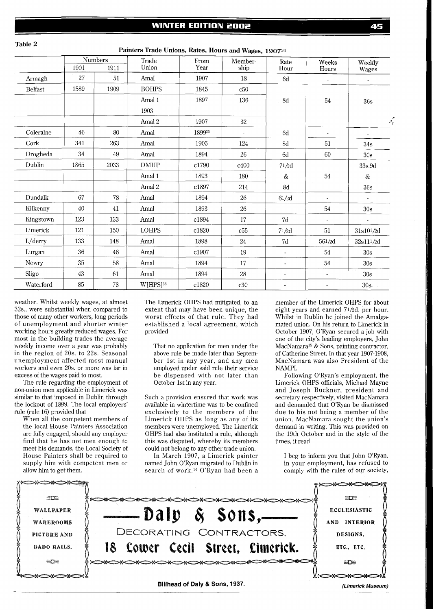Painters Trade Unions, Rates, Hours and Wages, 190734

|                | <b>Numbers</b> |      | Trade        | From   | Member-                  | Rate                     | Weeks                    | Weekly          |
|----------------|----------------|------|--------------|--------|--------------------------|--------------------------|--------------------------|-----------------|
|                | 1901           | 1911 | Union        | Year   | ship                     | Hour                     | Hours                    | Wages           |
| Armagh         | 27             | 51   | Amal         | 1907   | 18                       | 6d                       | $\blacksquare$           | $\blacksquare$  |
| <b>Belfast</b> | 1589           | 1909 | <b>BOHPS</b> | 1845   | c50                      |                          |                          |                 |
|                |                |      | Amal 1       | 1897   | 136                      | 8d                       | $54\,$                   | 36s             |
|                |                |      | 1903         |        |                          |                          |                          |                 |
|                |                |      | Amal 2       | 1907   | 32                       |                          |                          | يمن             |
| Coleraine      | 46             | 80   | Amal         | 189935 | $\overline{\phantom{a}}$ | 6d                       | $\blacksquare$           | $\blacksquare$  |
| Cork           | 341            | 263  | Amal         | 1905   | 124                      | $8\mathrm{d}$            | 51                       | 34s             |
| Drogheda       | 34             | 49   | Amal         | 1894   | 26                       | 6d                       | 60                       | 30s             |
| Dublin         | 1865           | 2033 | <b>DMHP</b>  | c1790  | c400                     | 71/2d                    |                          | 33s.9d          |
|                |                |      | Amal 1       | 1893   | 180                      | $\&$                     | 54                       | $\&$            |
|                |                |      | Amal 2       | c1897  | $214\,$                  | $8\mathrm{d}$            |                          | 36s             |
| Dundalk        | 67             | 78   | Amal         | 1894   | 26                       | $61/2{\rm d}$            | $\blacksquare$           | $\sim$          |
| Kilkenny       | 40             | 41   | Amal         | 1893   | 26                       |                          | 54                       | 30 <sub>s</sub> |
| Kingstown      | 123            | 133  | Amal         | c1894  | 17                       | 7d                       | $\sim$                   | $\blacksquare$  |
| Limerick       | 121            | 150  | <b>LOHPS</b> | c1820  | c55                      | 71/2d                    | 51                       | 31s101/2d       |
| L/derry        | 133            | 148  | Amal         | 1898   | 24                       | $7\mathrm{d}$            | 561/2d                   | 32s111/2d       |
| Lurgan         | 36             | 46   | Amal         | c1907  | 19                       | $\overline{\phantom{a}}$ | 54                       | 30s             |
| Newry          | 35             | 58   | Amal         | 1894   | 17                       | ÷,                       | 54                       | 30s             |
| Sligo          | 43             | 61   | Amal         | 1894   | 28                       | $\blacksquare$           | $\overline{\phantom{a}}$ | 30s             |
| Waterford      | 85             | 78   | W[HPS]36     | c1820  | c30                      | $\blacksquare$           | $\blacksquare$           | 30s.            |

weather. Whilst weekly wages, at almost 32s., were substantial when compared to those of many other workers, long periods of unemployment and shorter winter working hours greatly reduced wages. For most in the building trades the average weekly income over a year was probably in the region of 20s. to 22s. Seasonal unemployment affected most manual workers and even 20s. or more was far in excess of the wages paid to most.

**Table 2** 

The rule regarding the employment of non-union men applicable in Limerick was similar to that imposed in Dublin through the lockout of 1899. The local employers' rule (rule 16) provided that

When all the competent members of the local House Painters Association are fully engaged, should any employer find that he has not men enough to meet his demands, the Local Society of House Painters shall be required to supply him with competent men or allow him to get them.

The Limerick OHPS had mitigated, to an extent that may have been unique, the worst effects of that rule. They had established a local agreement, which provided

That no application for men under the above rule be made later than September 1st in any year, and any men employed under said rule their service be dispensed with not later than October 1st in any year.

Such a provision ensured that work was available in wintertime was to be confined exclusively to the members of the Limerick OHPS as long as any of its members were unemployed. The Limerick OHPS had also instituted a rule, although this was disputed, whereby its members could not belong to any other trade union.

In March 1907, a Limerick painter named John O'Ryan migrated to Dublin in search of work.14 O'Ryan had been a

member of the Limerick OHPS for about eight years and earned 71/2d. per hour. Whilst in Dublin he joined the Amalgamated union. On his return to Limerick in October 1907, O'Ryan secured a job with one of the city's leading employers, John MacNamara<sup>15</sup> & Sons, painting contractor, of Catherine Street. In that year 1907-1908, MacNamara was also President of the NAMPI.

Following O'Ryan's employment, the Limerick OHPS officials, Michael Mayne and Joseph Buckner, president and secretary respectively, visited MacNamara and demanded that O'Ryan be dismissed due to his not being a member of the union. MacNamara sought the union's demand in writing. This was provided on the 19th October and in the style of the times. it read

I beg to inform you that John O'Ryan, in your employment, has refused to comply with the rules of our society,

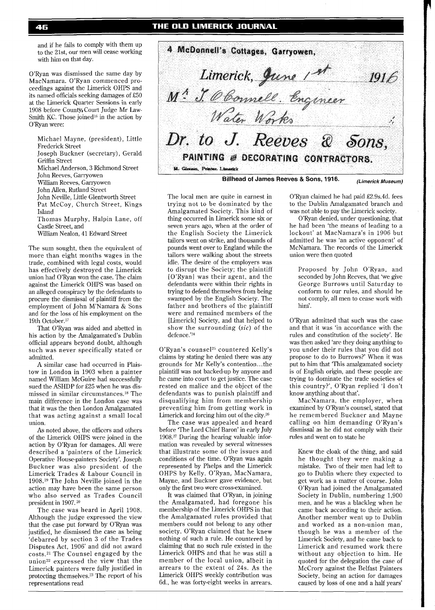and if he fails to comply with them up to the Zlst, our men will cease working with him on that day.

O'Ryan was dismissed the same day by MacNamara. O'Ryan commenced proceedings against the Limerick OHPS and its named officials seeking damages of E50 at the Limerick Quarter Sessions in early 1908 before County, Court Judge Mr Law-Smith KC. Those joined<sup>16</sup> in the action by O'Ryan were:

Michael Mayne, (president), Little Frederick Street

- Joseph Buckner (secretary), Gerald Griffin Street
- Michael Anderson, 3 Richmond Street
- John Reeves, Garryowen
- William Reeves, Garryowen
- John Allen, Rutland Street
- John Neville, Little Glentworth Street Pat McCoy, Church Street, Kings

Island

- Thomas Murphy, Halpin Lane, off Castle Street, and
- William Nealon, 41 Edward Street

The sum sought, then the equivalent of more than eight months wages in the trade, combined with legal costs, would has effectively destroyed the Limerick union had O'Ryan won the case. The claim against the Limerick OHPS was based on an alleged conspiracy by the defendants to procure the dismissal of plaintiff from the employment of John M'Namara & Sons and for the loss of his employment on the 19th 0ctober.17

That O'Ryan was aided and abetted in his action by the Amalgamated's Dublin official appears beyond doubt, although such was never specifically stated or admitted.

A similar case had occurred in Plaistow in London in 1903 when a painter named William McGuire had successfully sued the ASHDP for E25 when he was dismissed in similar circumstances.<sup>18</sup> The main difference in the London case was that it was the then London Amalgamated that was acting against a small local union.

As noted above, the officers and others of the Limerick OHPS were joined in the action by O'Ryan for damages. All were described a 'painters of the Limerick Operative House-painters Society'. Joseph Buckner was also president of the Limerick Trades & Labour Council in 1908.19 The John Neville joined in the action may have been the same person who also served as Trades Council president in 1907. 20

The case was heard in April 1908. Although the judge expressed the view that the case put forward by O'Ryan was justified, he dismissed the case as being 'debarred by section 3 of the Trades Disputes Act, 1906' and did not award costs.21 The Counsel engaged by the union<sup>22</sup> expressed the view that the Limerick painters were fully justified in protecting themselves.<sup>23</sup> The report of his representations read

4 McDonnell's Cottages, Garryowen, Limerick, June 1st<br>M<sup>1</sup> J. Obonnell, Engineer<br>Water Works J, Dr. to J. Reeves & Sons, PAINTING @ DECORATING CONTRACTORS. 14. Giornon, Printer. Linnarick

**Billhead of James Reeves & Sons, 1916.** *(Limerick Museum)* 

The local men are quite in earnest in trying not to be dominated by the Amalgamated Society. This kind of thing occurred in Limerick some six or seven years ago, when at the order of the English Society the Limerick tailors went on strike, and thousands of pounds went over to England while the tailors were walking about the streets idle. The desire of the employers was to disrupt the Society; the plaintiff [O'Ryan] was their agent, and the defendants were within their rights in trying to defend themselves from being swamped by the English Society. The father and brothers of the plaintiff were and remained members of the [Limerick] Society, and that helped to show the surrounding (sic) of the defence.'24

O'Ryan's counsel<sup>25</sup> countered Kelly's claims by stating he denied there was any grounds for Mr Kelly's contention.. .the plaintiff was not backed-up by anyone and he came into court to get justice. The case rested on malice and the object of the defendants was to punish plaintiff and disqualifying him from membership preventing him from getting work in Limerick and forcing him out of the city.26

The case was appealed and heard before 'The Lord Chief Baron' in early July 1908.27 During the hearing valuable information was revealed by several witnesses that illustrate some of the issues and conditions of the time. O'Ryan was again represented by Phelps and the Limerick OHPS by Kelly. O'Ryan, MacNamara, Mayne, and Buckner gave evidence, but only the first two were cross-examined.

It was claimed that O'Ryan, in joining the Amalgamated, had foregone his membership of the Limerick OHPS in that the Amalgamated rules provided that members could not belong to any other society. O'Ryan claimed that he knew nothing of such a rule. He countered by claiming that no such rule existed in the Limerick OHPS and that he was still a member of the local union, albeit in arrears to the extent of 24s. As the Limerick OHPS weekly contribution was 6d., he was forty-eight weeks in arrears. O'Ryan claimed he had paid E2.9s.4d. fees to the Dublin Amalgamated branch and was not able to pay the Limerick society.

O'Ryan denied, under questioning, that he had been 'the means of leading to a lockout' at MacNamara's in 1906 but admitted he was 'an active opponent' of McNamara. The records of the Limerick union were then quoted

Proposed by John O'Ryan, and seconded by John Reeves, that 'we give George Burrows until Saturday to conform to our rules, and should he not comply, all men to cease work with him'.

O'Ryan admitted that such was the case and that it was 'in accordance with the rules and constitution of the society'. He was then asked 'are they doing anything to you under their rules that you did not propose to do to Burrows?' When it was put to him that 'This amalgamated society is of English origin, and these people are trying to dominate the trade societies of this country?', O'Ryan replied 'I don't know anything about that'.

MacNamara, the employer, when examined by O'Ryan's counsel, stated that he remembered Buckner and Mayne calling on him demanding O'Ryan's dismissal as he did not comply with their rules and went on to state he

Knew the cloak of the thing, and said he thought they were making a mistake. Two of their men had left to go to Dublin where they expected to get work as a matter of course. John O'Ryan had joined the Amalgamated Society in Dublin, numbering 1,900 men, and he was a blackleg when he came back according to their action. Another member went up to Dublin and worked as a non-union man, though he was a member of the Limerick Society, and he came back to Limerick and resumed work there without any objection to him. He quoted for the delegation the case of McCrory against the Belfast Painters Society, being an action for damages caused by loss of one and a half years'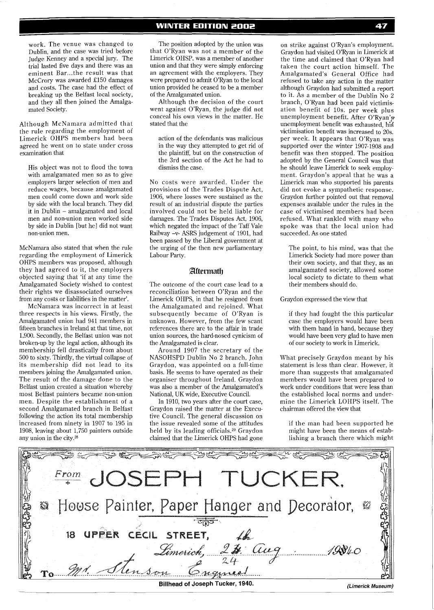Although McNamara admitted that the rule regarding the employment of Limerick OHPS members had been agreed he went on to state under cross examination that

His object was not to flood the town with amalgamated men so as to give employers larger selection of men and reduce wages, because amalgamated men could come down and work side by side with the local branch. They did it in Dublin - amalgamated and local men and non-union men worked side by side in Dublin [but he] did not want non-union men.

McNamara also stated that when the rule regarding the employment of Limerick OHPS members was proposed, although they had agreed to it, the employers objected saying that 'if at any time the Amalgamated Society wished to contest their rights we disassociated ourselves from any costs or liabilities in the matter'.

McNamara was incorrect in at least three respects in his views. Firstly, the Amalgamated union had 941 members in fifteen branches in Ireland at that time, not 1,900. Secondly, the Belfast union was not broken-up by the legal action, although its membership fell drastically from about 500 to sixty. Thirdly, the virtual collapse of its membership did not lead to its members joining the Amalgamated union. The result of the damage done to the Belfast union created a situation whereby most Belfast painters became non-union men. Despite the establishment of a second Amalgamated branch in Belfast following the action its total membership increased from ninety in 1907 to 195 in 1908, leaving about 1,750 painters outside any union in the city.28

**WINTER EDITION 2002** 

The position adopted by the union was that O'Ryan was not a member of the Limerick OHSP, was a member of another union and that they were simply enforcing an agreement with the employers. They were prepared to admit O'Ryan to the local union provided he ceased to be a member of the Amalgamated union.

Although the decision of the court went against O'Ryan, the judge did not conceal his own views in the matter. He stated that the

action of the defendants was malicious in the way they attempted to get rid of the plaintiff, but on the construction of the 3rd section of the Act he had to dismiss the case.

No costs were awarded. Under the provisions of the Trades Dispute Act, 1906, where losses were sustained as the result of an industrial dispute the parties involved could not be held liable for damages. The Trades Disputes Act, 1906, which negated the impact of the Taff Vale Railway -v- ASRS judgement of 1901, had been passed by the Liberal government at the urging of the then new parliamentary Labour Party.

#### Aftermath

The outcome of the court case lead to a reconciliation between O'Ryan and the Limerick OHPS, in that he resigned from the Amalgamated and rejoined. What subsequently became of O'Ryan is unknown. However, from the few scant references there are to the affair in trade union sources, the hard-nosed cynicism of the Amalgamated is clear.

Around 1907 the secretary of the NASOHSPD Dublin No 2 branch, John Graydon, was appointed on a full-time basis. He seems to have operated as their organiser throughout Ireland. Graydon was also a member of the Amalgamated's National, UK wide, Executive Council.

In 1910, two years after the court case, Graydon raised the matter at the Executive Council. The general discussion on the issue revealed some of the attitudes held by its leading officials.<sup>29</sup> Graydon claimed that the Limerick OHPS had gone

on strike against O'Ryan's employment. Graydon had visited O'Ryan in Limerick at the time and claimed that O'Ryan had taken the court action himself. The Amalgamated's General Office had refused to take any action in the matter although Graydon had submitted a report to it. As a member of the Dublin No 2 branch, O'Ryan had been paid victimisation benefit of 10s. per week plus unemployment benefit. After O'Ryan's unemployment benefit was exhausted, his victimisation benefit was increased to 20s. per week. It appears that O'Ryan was supported over the winter 1907-1908 and benefit was then stopped. The position adopted by the General Council was that he should leave Limerick to seek employment. Graydon's appeal that he was a Limerick man who supported his parents did not evoke a sympathetic response. Graydon further pointed out that removal expenses available under the rules in the case of victimised members had been refused. What rankled with many who spoke was that the local union had succeeded. As one stated

The point, to his mind, was that the Limerick Society had more power than their own society, and that they, as an amalgamated society, allowed some local society to dictate to them what their members should do.

#### Graydon expressed the view that

if they had fought the this particular case the employers would have been with them hand in hand, because they would have been very glad to have men of our society to work in Limerick.

What precisely Graydon meant by his statement is less than clear. However, it more than suggests that amalgamated members would have been prepared to work under conditions that were less than the established local norms and undermine the Limerick LOHPS itself. The chairman offered the view that

if the man had been supported he might have been the means of establishing a branch there which might